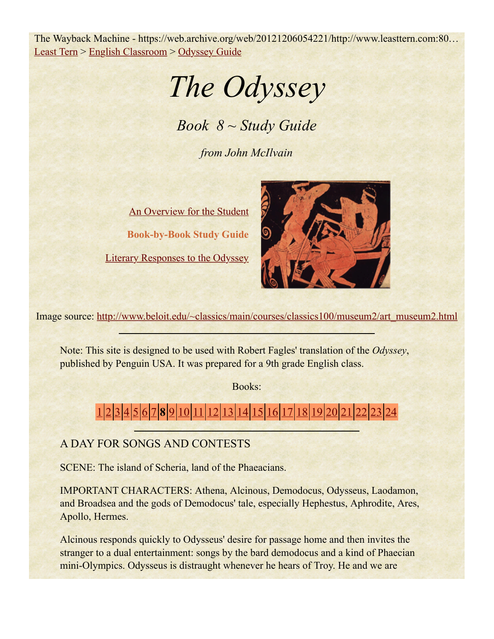The Wayback Machine - https://web.archive.org/web/20121206054221/http://www.leasttern.com:80… Least Tern > English Classroom > Odyssey Guide

*The Odyssey*

*Book 8 ~ Study Guide*

*from John McIlvain*

An Overview for the Student **Book-by-Book Study Guide**

Literary Responses to the Odyssey



Image source: http://www.beloit.edu/~classics/main/courses/classics100/museum2/art\_museum2.html

Note: This site is designed to be used with Robert Fagles' translation of the *Odyssey*, published by Penguin USA. It was prepared for a 9th grade English class.

Books:



# A DAY FOR SONGS AND CONTESTS

SCENE: The island of Scheria, land of the Phaeacians.

IMPORTANT CHARACTERS: Athena, Alcinous, Demodocus, Odysseus, Laodamon, and Broadsea and the gods of Demodocus' tale, especially Hephestus, Aphrodite, Ares, Apollo, Hermes.

Alcinous responds quickly to Odysseus' desire for passage home and then invites the stranger to a dual entertainment: songs by the bard demodocus and a kind of Phaecian mini-Olympics. Odysseus is distraught whenever he hears of Troy. He and we are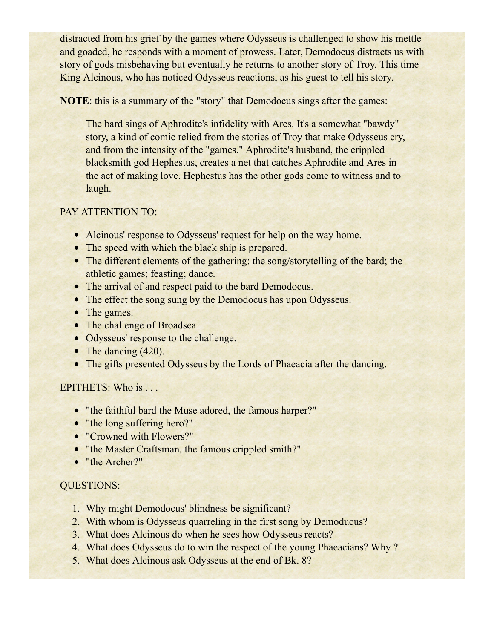distracted from his grief by the games where Odysseus is challenged to show his mettle and goaded, he responds with a moment of prowess. Later, Demodocus distracts us with story of gods misbehaving but eventually he returns to another story of Troy. This time King Alcinous, who has noticed Odysseus reactions, as his guest to tell his story.

**NOTE**: this is a summary of the "story" that Demodocus sings after the games:

The bard sings of Aphrodite's infidelity with Ares. It's a somewhat "bawdy" story, a kind of comic relied from the stories of Troy that make Odysseus cry, and from the intensity of the "games." Aphrodite's husband, the crippled blacksmith god Hephestus, creates a net that catches Aphrodite and Ares in the act of making love. Hephestus has the other gods come to witness and to laugh.

### PAY ATTENTION TO:

- Alcinous' response to Odysseus' request for help on the way home.
- The speed with which the black ship is prepared.
- The different elements of the gathering: the song/storytelling of the bard; the athletic games; feasting; dance.
- The arrival of and respect paid to the bard Demodocus.
- The effect the song sung by the Demodocus has upon Odysseus.
- The games.
- The challenge of Broadsea
- Odysseus' response to the challenge.
- The dancing (420).
- The gifts presented Odysseus by the Lords of Phaeacia after the dancing.

## EPITHETS: Who is . . .

- "the faithful bard the Muse adored, the famous harper?"
- "the long suffering hero?"
- "Crowned with Flowers?"
- "the Master Craftsman, the famous crippled smith?"
- "the Archer?"

## QUESTIONS:

- 1. Why might Demodocus' blindness be significant?
- 2. With whom is Odysseus quarreling in the first song by Demoducus?
- 3. What does Alcinous do when he sees how Odysseus reacts?
- 4. What does Odysseus do to win the respect of the young Phaeacians? Why ?
- 5. What does Alcinous ask Odysseus at the end of Bk. 8?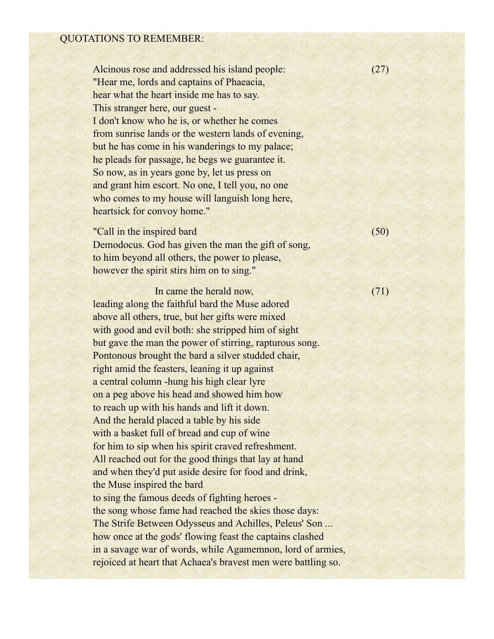#### QUOTATIONS TO REMEMBER:

Alcinous rose and addressed his island people: "Hear me, lords and captains of Phaeacia, hear what the heart inside me has to say. This stranger here, our guest - I don't know who he is, or whether he comes from sunrise lands or the western lands of evening, but he has come in his wanderings to my palace; he pleads for passage, he begs we guarantee it. So now, as in years gone by, let us press on and grant him escort. No one, I tell you, no one who comes to my house will languish long here, heartsick for convoy home."

#### "Call in the inspired bard

Demodocus. God has given the man the gift of song, to him beyond all others, the power to please, however the spirit stirs him on to sing."

 In came the herald now, leading along the faithful bard the Muse adored above all others, true, but her gifts were mixed with good and evil both: she stripped him of sight but gave the man the power of stirring, rapturous song. Pontonous brought the bard a silver studded chair, right amid the feasters, leaning it up against a central column -hung his high clear lyre on a peg above his head and showed him how to reach up with his hands and lift it down. And the herald placed a table by his side with a basket full of bread and cup of wine for him to sip when his spirit craved refreshment. All reached out for the good things that lay at hand and when they'd put aside desire for food and drink, the Muse inspired the bard to sing the famous deeds of fighting heroes the song whose fame had reached the skies those days: The Strife Between Odysseus and Achilles, Peleus' Son ... how once at the gods' flowing feast the captains clashed in a savage war of words, while Agamemnon, lord of armies, rejoiced at heart that Achaea's bravest men were battling so.

(50)

(27)

(71)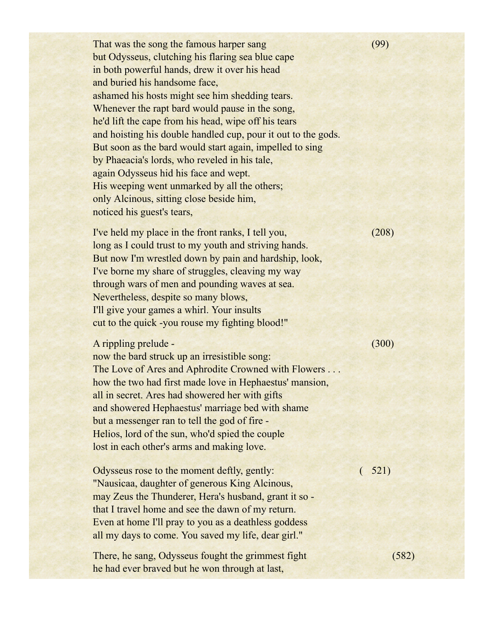That was the song the famous harper sang but Odysseus, clutching his flaring sea blue cape in both powerful hands, drew it over his head and buried his handsome face, ashamed his hosts might see him shedding tears. Whenever the rapt bard would pause in the song, he'd lift the cape from his head, wipe off his tears and hoisting his double handled cup, pour it out to the gods. But soon as the bard would start again, impelled to sing by Phaeacia's lords, who reveled in his tale, again Odysseus hid his face and wept. His weeping went unmarked by all the others; only Alcinous, sitting close beside him, noticed his guest's tears,

I've held my place in the front ranks, I tell you, long as I could trust to my youth and striving hands. But now I'm wrestled down by pain and hardship, look, I've borne my share of struggles, cleaving my way through wars of men and pounding waves at sea. Nevertheless, despite so many blows, I'll give your games a whirl. Your insults cut to the quick -you rouse my fighting blood!"

A rippling prelude -

now the bard struck up an irresistible song: The Love of Ares and Aphrodite Crowned with Flowers . . . how the two had first made love in Hephaestus' mansion, all in secret. Ares had showered her with gifts and showered Hephaestus' marriage bed with shame but a messenger ran to tell the god of fire - Helios, lord of the sun, who'd spied the couple lost in each other's arms and making love.

Odysseus rose to the moment deftly, gently: "Nausicaa, daughter of generous King Alcinous, may Zeus the Thunderer, Hera's husband, grant it so that I travel home and see the dawn of my return. Even at home I'll pray to you as a deathless goddess all my days to come. You saved my life, dear girl."

There, he sang, Odysseus fought the grimmest fight he had ever braved but he won through at last,

(300)

(208)

 $(521)$ 

(582)